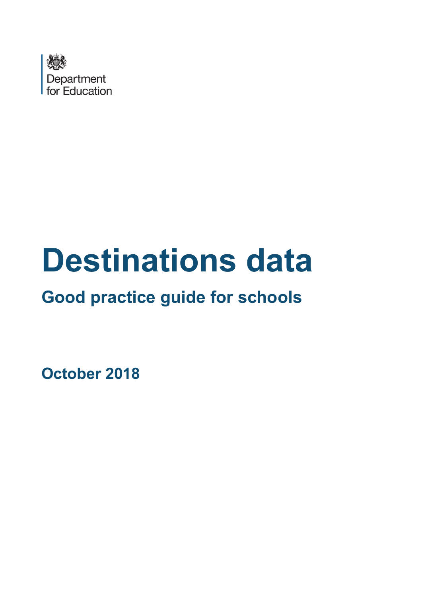

# **Destinations data**

# **Good practice guide for schools**

**October 2018**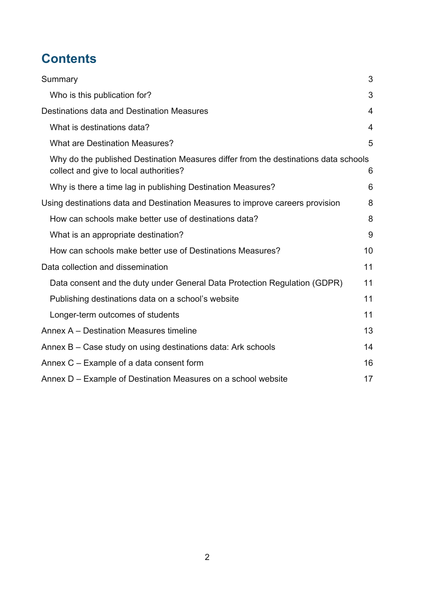# **Contents**

| Summary                                                                                                                       | 3              |
|-------------------------------------------------------------------------------------------------------------------------------|----------------|
| Who is this publication for?                                                                                                  | 3              |
| Destinations data and Destination Measures                                                                                    | $\overline{4}$ |
| What is destinations data?                                                                                                    | $\overline{4}$ |
| <b>What are Destination Measures?</b>                                                                                         | 5              |
| Why do the published Destination Measures differ from the destinations data schools<br>collect and give to local authorities? | 6              |
| Why is there a time lag in publishing Destination Measures?                                                                   | 6              |
| Using destinations data and Destination Measures to improve careers provision                                                 | 8              |
| How can schools make better use of destinations data?                                                                         | 8              |
| What is an appropriate destination?                                                                                           | 9              |
| How can schools make better use of Destinations Measures?                                                                     | 10             |
| Data collection and dissemination                                                                                             | 11             |
| Data consent and the duty under General Data Protection Regulation (GDPR)                                                     | 11             |
| Publishing destinations data on a school's website                                                                            | 11             |
| Longer-term outcomes of students                                                                                              | 11             |
| Annex A – Destination Measures timeline                                                                                       | 13             |
| Annex B – Case study on using destinations data: Ark schools                                                                  | 14             |
| Annex C – Example of a data consent form                                                                                      | 16             |
| Annex D - Example of Destination Measures on a school website                                                                 | 17             |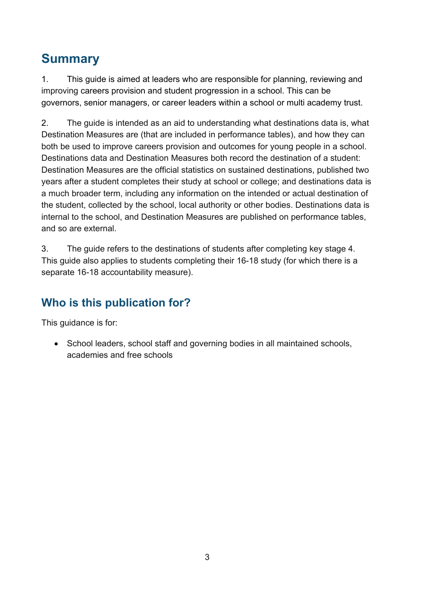# <span id="page-2-0"></span>**Summary**

1. This guide is aimed at leaders who are responsible for planning, reviewing and improving careers provision and student progression in a school. This can be governors, senior managers, or career leaders within a school or multi academy trust.

2. The guide is intended as an aid to understanding what destinations data is, what Destination Measures are (that are included in performance tables), and how they can both be used to improve careers provision and outcomes for young people in a school. Destinations data and Destination Measures both record the destination of a student: Destination Measures are the official statistics on sustained destinations, published two years after a student completes their study at school or college; and destinations data is a much broader term, including any information on the intended or actual destination of the student, collected by the school, local authority or other bodies. Destinations data is internal to the school, and Destination Measures are published on performance tables, and so are external.

3. The guide refers to the destinations of students after completing key stage 4. This guide also applies to students completing their 16-18 study (for which there is a separate 16-18 accountability measure).

## <span id="page-2-1"></span>**Who is this publication for?**

This guidance is for:

• School leaders, school staff and governing bodies in all maintained schools, academies and free schools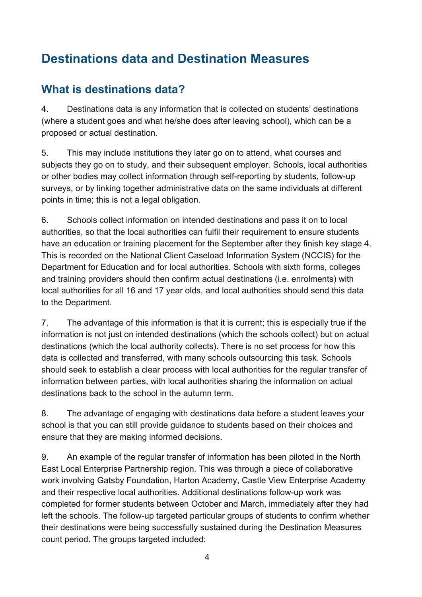# <span id="page-3-0"></span>**Destinations data and Destination Measures**

#### <span id="page-3-1"></span>**What is destinations data?**

4. Destinations data is any information that is collected on students' destinations (where a student goes and what he/she does after leaving school), which can be a proposed or actual destination.

5. This may include institutions they later go on to attend, what courses and subjects they go on to study, and their subsequent employer. Schools, local authorities or other bodies may collect information through self-reporting by students, follow-up surveys, or by linking together administrative data on the same individuals at different points in time; this is not a legal obligation.

6. Schools collect information on intended destinations and pass it on to local authorities, so that the local authorities can fulfil their requirement to ensure students have an education or training placement for the September after they finish key stage 4. This is recorded on the National Client Caseload Information System (NCCIS) for the Department for Education and for local authorities. Schools with sixth forms, colleges and training providers should then confirm actual destinations (i.e. enrolments) with local authorities for all 16 and 17 year olds, and local authorities should send this data to the Department.

7. The advantage of this information is that it is current; this is especially true if the information is not just on intended destinations (which the schools collect) but on actual destinations (which the local authority collects). There is no set process for how this data is collected and transferred, with many schools outsourcing this task. Schools should seek to establish a clear process with local authorities for the regular transfer of information between parties, with local authorities sharing the information on actual destinations back to the school in the autumn term.

8. The advantage of engaging with destinations data before a student leaves your school is that you can still provide guidance to students based on their choices and ensure that they are making informed decisions.

9. An example of the regular transfer of information has been piloted in the North East Local Enterprise Partnership region. This was through a piece of collaborative work involving Gatsby Foundation, Harton Academy, Castle View Enterprise Academy and their respective local authorities. Additional destinations follow-up work was completed for former students between October and March, immediately after they had left the schools. The follow-up targeted particular groups of students to confirm whether their destinations were being successfully sustained during the Destination Measures count period. The groups targeted included: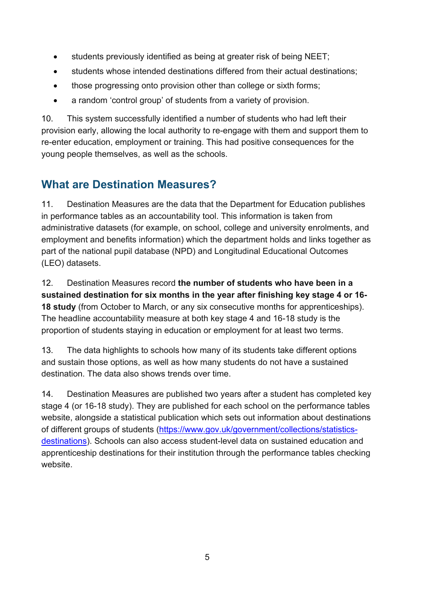- students previously identified as being at greater risk of being NEET;
- students whose intended destinations differed from their actual destinations;
- those progressing onto provision other than college or sixth forms;
- a random 'control group' of students from a variety of provision.

10. This system successfully identified a number of students who had left their provision early, allowing the local authority to re-engage with them and support them to re-enter education, employment or training. This had positive consequences for the young people themselves, as well as the schools.

#### <span id="page-4-0"></span>**What are Destination Measures?**

11. Destination Measures are the data that the Department for Education publishes in performance tables as an accountability tool. This information is taken from administrative datasets (for example, on school, college and university enrolments, and employment and benefits information) which the department holds and links together as part of the national pupil database (NPD) and Longitudinal Educational Outcomes (LEO) datasets.

12. Destination Measures record **the number of students who have been in a sustained destination for six months in the year after finishing key stage 4 or 16- 18 study** (from October to March, or any six consecutive months for apprenticeships). The headline accountability measure at both key stage 4 and 16-18 study is the proportion of students staying in education or employment for at least two terms.

13. The data highlights to schools how many of its students take different options and sustain those options, as well as how many students do not have a sustained destination. The data also shows trends over time.

14. Destination Measures are published two years after a student has completed key stage 4 (or 16-18 study). They are published for each school on the performance tables website, alongside a statistical publication which sets out information about destinations of different groups of students [\(https://www.gov.uk/government/collections/statistics](https://www.gov.uk/government/collections/statistics-destinations)[destinations\)](https://www.gov.uk/government/collections/statistics-destinations). Schools can also access student-level data on sustained education and apprenticeship destinations for their institution through the performance tables checking website.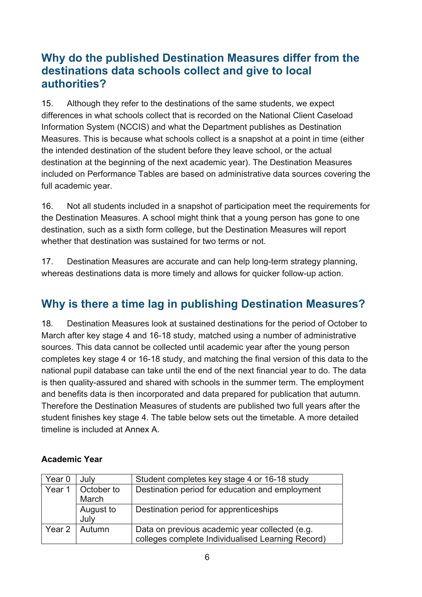#### <span id="page-5-0"></span>**Why do the published Destination Measures differ from the destinations data schools collect and give to local authorities?**

15. Although they refer to the destinations of the same students, we expect differences in what schools collect that is recorded on the National Client Caseload Information System (NCCIS) and what the Department publishes as Destination Measures. This is because what schools collect is a snapshot at a point in time (either the intended destination of the student before they leave school, or the actual destination at the beginning of the next academic year). The Destination Measures included on Performance Tables are based on administrative data sources covering the full academic year.

16. Not all students included in a snapshot of participation meet the requirements for the Destination Measures. A school might think that a young person has gone to one destination, such as a sixth form college, but the Destination Measures will report whether that destination was sustained for two terms or not.

17. Destination Measures are accurate and can help long-term strategy planning, whereas destinations data is more timely and allows for quicker follow-up action.

#### <span id="page-5-1"></span>**Why is there a time lag in publishing Destination Measures?**

18. Destination Measures look at sustained destinations for the period of October to March after key stage 4 and 16-18 study, matched using a number of administrative sources. This data cannot be collected until academic year after the young person completes key stage 4 or 16-18 study, and matching the final version of this data to the national pupil database can take until the end of the next financial year to do. The data is then quality-assured and shared with schools in the summer term. The employment and benefits data is then incorporated and data prepared for publication that autumn. Therefore the Destination Measures of students are published two full years after the student finishes key stage 4. The table below sets out the timetable. A more detailed timeline is included at Annex A.

| Year 0 | July                | Student completes key stage 4 or 16-18 study                                                        |
|--------|---------------------|-----------------------------------------------------------------------------------------------------|
| Year 1 | October to<br>March | Destination period for education and employment                                                     |
|        | August to<br>July   | Destination period for apprenticeships                                                              |
| Year 2 | Autumn              | Data on previous academic year collected (e.g.<br>colleges complete Individualised Learning Record) |

#### **Academic Year**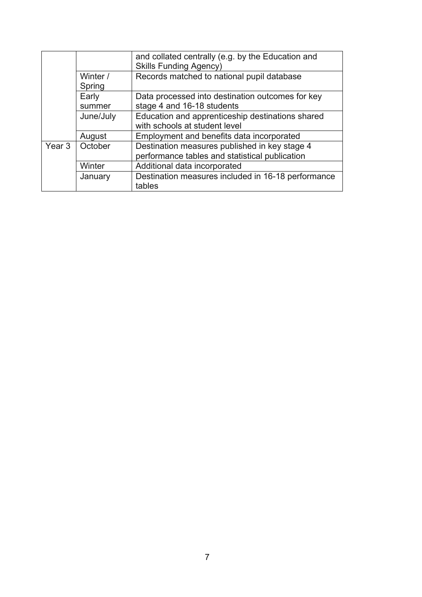|        |                                                               | and collated centrally (e.g. by the Education and<br><b>Skills Funding Agency)</b> |  |  |
|--------|---------------------------------------------------------------|------------------------------------------------------------------------------------|--|--|
|        | Winter /<br>Spring                                            | Records matched to national pupil database                                         |  |  |
|        | Early                                                         | Data processed into destination outcomes for key                                   |  |  |
|        | summer                                                        | stage 4 and 16-18 students                                                         |  |  |
|        | Education and apprenticeship destinations shared<br>June/July |                                                                                    |  |  |
|        |                                                               | with schools at student level                                                      |  |  |
|        | August                                                        | Employment and benefits data incorporated                                          |  |  |
| Year 3 | October                                                       | Destination measures published in key stage 4                                      |  |  |
|        |                                                               | performance tables and statistical publication                                     |  |  |
|        | Winter                                                        | Additional data incorporated                                                       |  |  |
|        | January                                                       | Destination measures included in 16-18 performance                                 |  |  |
|        |                                                               | tables                                                                             |  |  |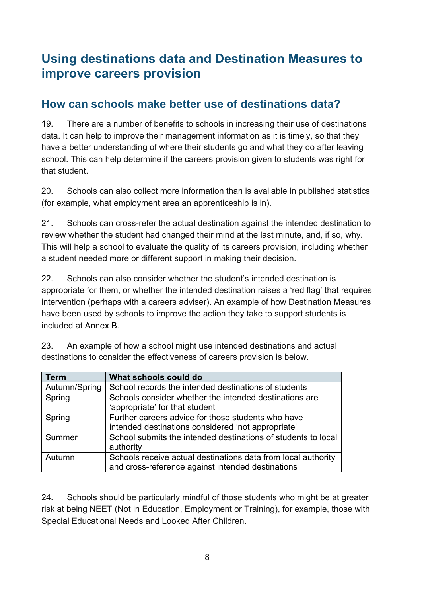### <span id="page-7-0"></span>**Using destinations data and Destination Measures to improve careers provision**

#### <span id="page-7-1"></span>**How can schools make better use of destinations data?**

19. There are a number of benefits to schools in increasing their use of destinations data. It can help to improve their management information as it is timely, so that they have a better understanding of where their students go and what they do after leaving school. This can help determine if the careers provision given to students was right for that student.

20. Schools can also collect more information than is available in published statistics (for example, what employment area an apprenticeship is in).

21. Schools can cross-refer the actual destination against the intended destination to review whether the student had changed their mind at the last minute, and, if so, why. This will help a school to evaluate the quality of its careers provision, including whether a student needed more or different support in making their decision.

22. Schools can also consider whether the student's intended destination is appropriate for them, or whether the intended destination raises a 'red flag' that requires intervention (perhaps with a careers adviser). An example of how Destination Measures have been used by schools to improve the action they take to support students is included at Annex B.

| Term          | What schools could do                                         |
|---------------|---------------------------------------------------------------|
| Autumn/Spring | School records the intended destinations of students          |
| Spring        | Schools consider whether the intended destinations are        |
|               | 'appropriate' for that student                                |
| Spring        | Further careers advice for those students who have            |
|               | intended destinations considered 'not appropriate'            |
| Summer        | School submits the intended destinations of students to local |
|               | authority                                                     |
| Autumn        | Schools receive actual destinations data from local authority |
|               | and cross-reference against intended destinations             |

23. An example of how a school might use intended destinations and actual destinations to consider the effectiveness of careers provision is below.

24. Schools should be particularly mindful of those students who might be at greater risk at being NEET (Not in Education, Employment or Training), for example, those with Special Educational Needs and Looked After Children.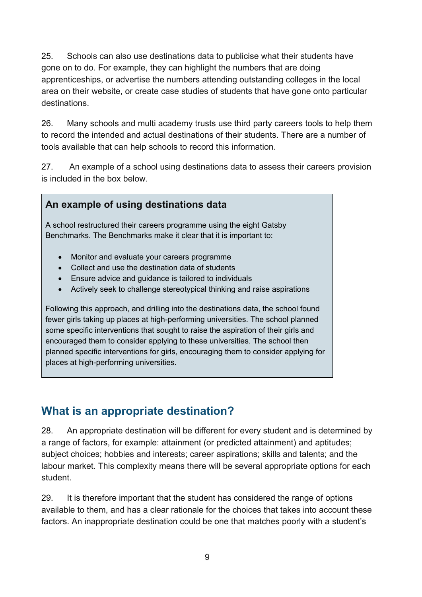25. Schools can also use destinations data to publicise what their students have gone on to do. For example, they can highlight the numbers that are doing apprenticeships, or advertise the numbers attending outstanding colleges in the local area on their website, or create case studies of students that have gone onto particular destinations.

26. Many schools and multi academy trusts use third party careers tools to help them to record the intended and actual destinations of their students. There are a number of tools available that can help schools to record this information.

27. An example of a school using destinations data to assess their careers provision is included in the box below.

#### **An example of using destinations data**

A school restructured their careers programme using the eight Gatsby Benchmarks. The Benchmarks make it clear that it is important to:

- Monitor and evaluate your careers programme
- Collect and use the destination data of students
- Ensure advice and guidance is tailored to individuals
- Actively seek to challenge stereotypical thinking and raise aspirations

Following this approach, and drilling into the destinations data, the school found fewer girls taking up places at high-performing universities. The school planned some specific interventions that sought to raise the aspiration of their girls and encouraged them to consider applying to these universities. The school then planned specific interventions for girls, encouraging them to consider applying for places at high-performing universities.

#### <span id="page-8-0"></span>**What is an appropriate destination?**

28. An appropriate destination will be different for every student and is determined by a range of factors, for example: attainment (or predicted attainment) and aptitudes; subject choices; hobbies and interests; career aspirations; skills and talents; and the labour market. This complexity means there will be several appropriate options for each student.

29. It is therefore important that the student has considered the range of options available to them, and has a clear rationale for the choices that takes into account these factors. An inappropriate destination could be one that matches poorly with a student's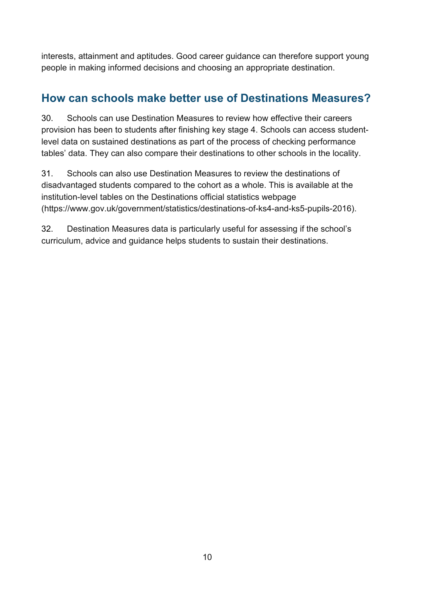interests, attainment and aptitudes. Good career guidance can therefore support young people in making informed decisions and choosing an appropriate destination.

#### <span id="page-9-0"></span>**How can schools make better use of Destinations Measures?**

30. Schools can use Destination Measures to review how effective their careers provision has been to students after finishing key stage 4. Schools can access studentlevel data on sustained destinations as part of the process of checking performance tables' data. They can also compare their destinations to other schools in the locality.

31. Schools can also use Destination Measures to review the destinations of disadvantaged students compared to the cohort as a whole. This is available at the institution-level tables on the Destinations official statistics webpage [\(https://www.gov.uk/government/statistics/destinations-of-ks4-and-ks5-pupils-2016\)](https://www.gov.uk/government/statistics/destinations-of-ks4-and-ks5-pupils-2016).

32. Destination Measures data is particularly useful for assessing if the school's curriculum, advice and guidance helps students to sustain their destinations.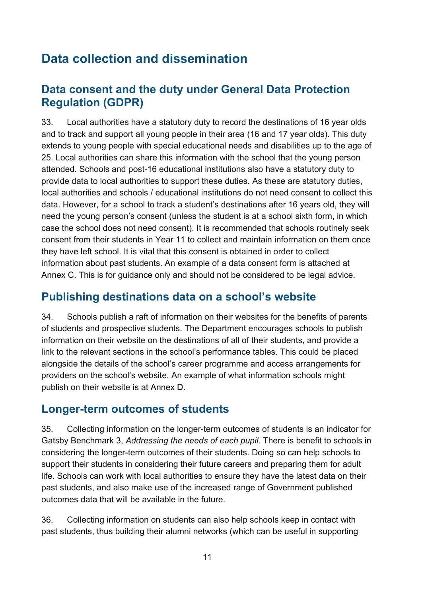# <span id="page-10-0"></span>**Data collection and dissemination**

#### <span id="page-10-1"></span>**Data consent and the duty under General Data Protection Regulation (GDPR)**

33. Local authorities have a statutory duty to record the destinations of 16 year olds and to track and support all young people in their area (16 and 17 year olds). This duty extends to young people with special educational needs and disabilities up to the age of 25. Local authorities can share this information with the school that the young person attended. Schools and post-16 educational institutions also have a statutory duty to provide data to local authorities to support these duties. As these are statutory duties, local authorities and schools / educational institutions do not need consent to collect this data. However, for a school to track a student's destinations after 16 years old, they will need the young person's consent (unless the student is at a school sixth form, in which case the school does not need consent). It is recommended that schools routinely seek consent from their students in Year 11 to collect and maintain information on them once they have left school. It is vital that this consent is obtained in order to collect information about past students. An example of a data consent form is attached at Annex C. This is for guidance only and should not be considered to be legal advice.

#### <span id="page-10-2"></span>**Publishing destinations data on a school's website**

34. Schools publish a raft of information on their websites for the benefits of parents of students and prospective students. The Department encourages schools to publish information on their website on the destinations of all of their students, and provide a link to the relevant sections in the school's performance tables. This could be placed alongside the details of the school's career programme and access arrangements for providers on the school's website. An example of what information schools might publish on their website is at Annex D.

#### <span id="page-10-3"></span>**Longer-term outcomes of students**

35. Collecting information on the longer-term outcomes of students is an indicator for Gatsby Benchmark 3, *Addressing the needs of each pupil*. There is benefit to schools in considering the longer-term outcomes of their students. Doing so can help schools to support their students in considering their future careers and preparing them for adult life. Schools can work with local authorities to ensure they have the latest data on their past students, and also make use of the increased range of Government published outcomes data that will be available in the future.

36. Collecting information on students can also help schools keep in contact with past students, thus building their alumni networks (which can be useful in supporting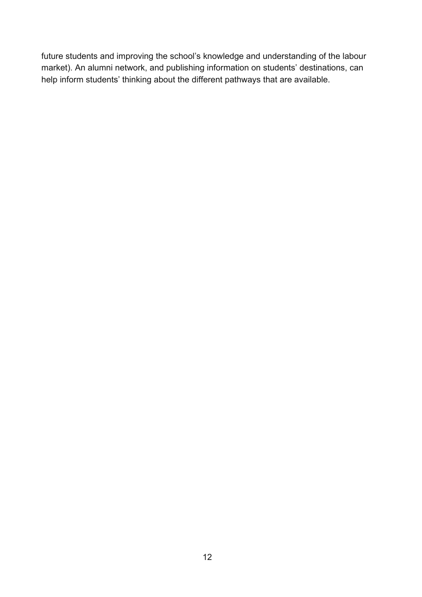future students and improving the school's knowledge and understanding of the labour market). An alumni network, and publishing information on students' destinations, can help inform students' thinking about the different pathways that are available.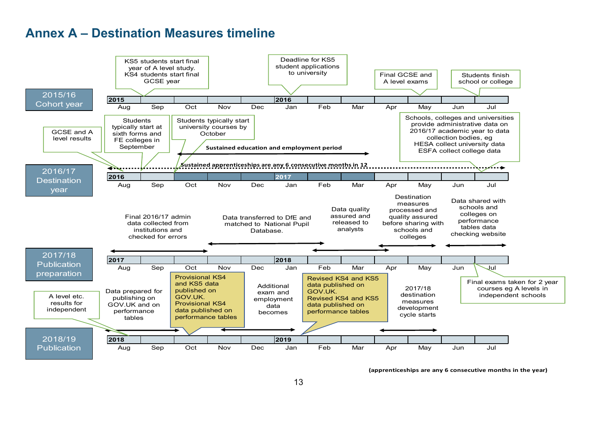#### **Annex A – Destination Measures timeline**

<span id="page-12-0"></span>

**(apprenticeships are any 6 consecutive months in the year)**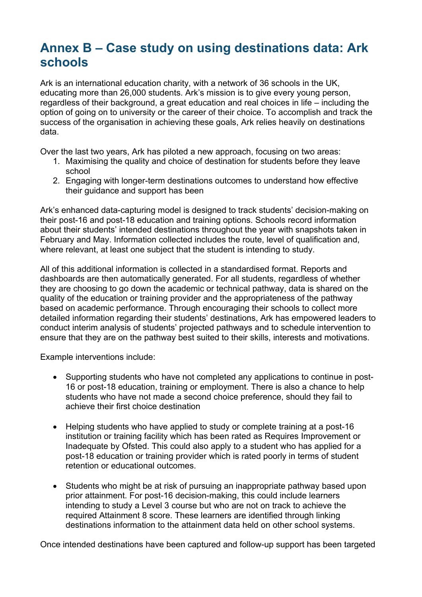### <span id="page-13-0"></span>**Annex B – Case study on using destinations data: Ark schools**

Ark is an international education charity, with a network of 36 schools in the UK, educating more than 26,000 students. Ark's mission is to give every young person, regardless of their background, a great education and real choices in life – including the option of going on to university or the career of their choice. To accomplish and track the success of the organisation in achieving these goals, Ark relies heavily on destinations data.

Over the last two years, Ark has piloted a new approach, focusing on two areas:

- 1. Maximising the quality and choice of destination for students before they leave school
- 2. Engaging with longer-term destinations outcomes to understand how effective their guidance and support has been

Ark's enhanced data-capturing model is designed to track students' decision-making on their post-16 and post-18 education and training options. Schools record information about their students' intended destinations throughout the year with snapshots taken in February and May. Information collected includes the route, level of qualification and, where relevant, at least one subject that the student is intending to study.

All of this additional information is collected in a standardised format. Reports and dashboards are then automatically generated. For all students, regardless of whether they are choosing to go down the academic or technical pathway, data is shared on the quality of the education or training provider and the appropriateness of the pathway based on academic performance. Through encouraging their schools to collect more detailed information regarding their students' destinations, Ark has empowered leaders to conduct interim analysis of students' projected pathways and to schedule intervention to ensure that they are on the pathway best suited to their skills, interests and motivations.

Example interventions include:

- Supporting students who have not completed any applications to continue in post-16 or post-18 education, training or employment. There is also a chance to help students who have not made a second choice preference, should they fail to achieve their first choice destination
- Helping students who have applied to study or complete training at a post-16 institution or training facility which has been rated as Requires Improvement or Inadequate by Ofsted. This could also apply to a student who has applied for a post-18 education or training provider which is rated poorly in terms of student retention or educational outcomes.
- Students who might be at risk of pursuing an inappropriate pathway based upon prior attainment. For post-16 decision-making, this could include learners intending to study a Level 3 course but who are not on track to achieve the required Attainment 8 score. These learners are identified through linking destinations information to the attainment data held on other school systems.

Once intended destinations have been captured and follow-up support has been targeted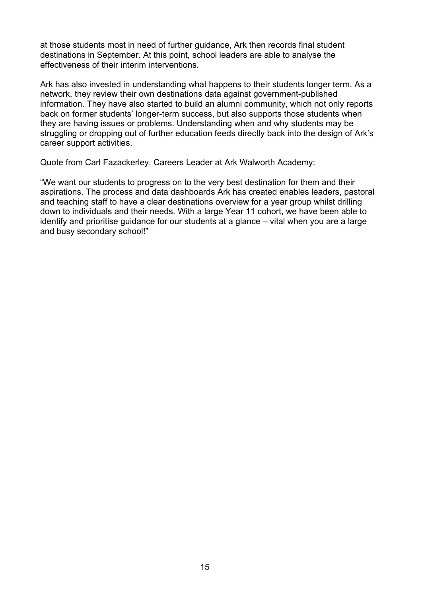at those students most in need of further guidance, Ark then records final student destinations in September. At this point, school leaders are able to analyse the effectiveness of their interim interventions.

Ark has also invested in understanding what happens to their students longer term. As a network, they review their own destinations data against government-published information. They have also started to build an alumni community, which not only reports back on former students' longer-term success, but also supports those students when they are having issues or problems. Understanding when and why students may be struggling or dropping out of further education feeds directly back into the design of Ark's career support activities.

Quote from Carl Fazackerley, Careers Leader at Ark Walworth Academy:

"We want our students to progress on to the very best destination for them and their aspirations. The process and data dashboards Ark has created enables leaders, pastoral and teaching staff to have a clear destinations overview for a year group whilst drilling down to individuals and their needs. With a large Year 11 cohort, we have been able to identify and prioritise guidance for our students at a glance – vital when you are a large and busy secondary school!"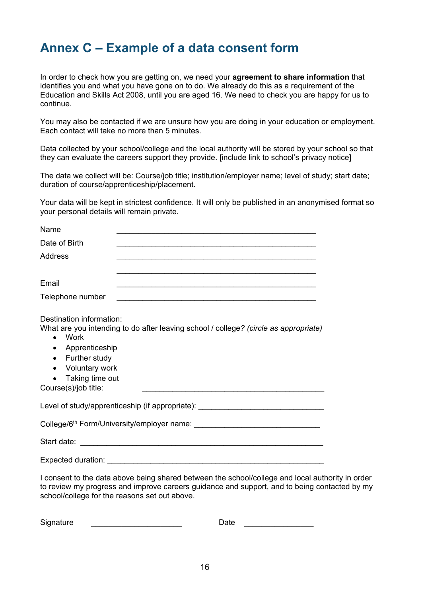# <span id="page-15-0"></span>**Annex C – Example of a data consent form**

In order to check how you are getting on, we need your **agreement to share information** that identifies you and what you have gone on to do. We already do this as a requirement of the Education and Skills Act 2008, until you are aged 16. We need to check you are happy for us to continue.

You may also be contacted if we are unsure how you are doing in your education or employment. Each contact will take no more than 5 minutes.

Data collected by your school/college and the local authority will be stored by your school so that they can evaluate the careers support they provide. [include link to school's privacy notice]

The data we collect will be: Course/job title; institution/employer name; level of study; start date; duration of course/apprenticeship/placement.

Your data will be kept in strictest confidence. It will only be published in an anonymised format so your personal details will remain private.

| Name                                                                                                                                                                      | <u> 1989 - Johann Harry Barn, mars ar breist fan de Amerikaansk kommunent fan de Amerikaanske kommunent fan de A</u> |
|---------------------------------------------------------------------------------------------------------------------------------------------------------------------------|----------------------------------------------------------------------------------------------------------------------|
| Date of Birth                                                                                                                                                             |                                                                                                                      |
| Address                                                                                                                                                                   | <u> 1989 - Johann Stoff, amerikansk politiker (d. 1989)</u>                                                          |
|                                                                                                                                                                           | <u> 1989 - Johann Stoff, amerikansk politiker (d. 1989)</u>                                                          |
| Email                                                                                                                                                                     | <u> 1989 - Johann Stoff, amerikansk politiker (d. 1989)</u>                                                          |
| Telephone number                                                                                                                                                          |                                                                                                                      |
| Destination information:<br>Work<br>$\bullet$<br>Apprenticeship<br>$\bullet$<br>Further study<br>$\bullet$<br>• Voluntary work<br>Taking time out<br>Course(s)/job title: | What are you intending to do after leaving school / college? (circle as appropriate)                                 |
|                                                                                                                                                                           | Level of study/apprenticeship (if appropriate): ________________________________                                     |
|                                                                                                                                                                           |                                                                                                                      |
|                                                                                                                                                                           |                                                                                                                      |
|                                                                                                                                                                           |                                                                                                                      |

I consent to the data above being shared between the school/college and local authority in order to review my progress and improve careers guidance and support, and to being contacted by my school/college for the reasons set out above.

| Signature |  |  |
|-----------|--|--|
|           |  |  |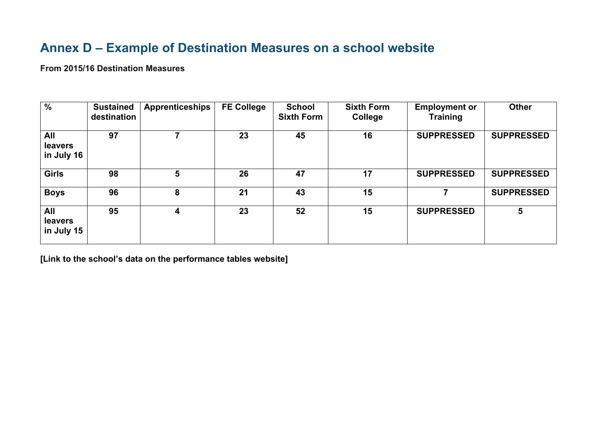# **Annex D – Example of Destination Measures on a school website**

**From 2015/16 Destination Measures**

| $\overline{\frac{9}{6}}$     | <b>Sustained</b><br>destination | <b>Apprenticeships</b> | <b>FE College</b> | <b>School</b><br><b>Sixth Form</b> | <b>Sixth Form</b><br>College | <b>Employment or</b><br><b>Training</b> | <b>Other</b>      |
|------------------------------|---------------------------------|------------------------|-------------------|------------------------------------|------------------------------|-----------------------------------------|-------------------|
| All<br>leavers<br>in July 16 | 97                              |                        | 23                | 45                                 | 16                           | <b>SUPPRESSED</b>                       | <b>SUPPRESSED</b> |
| <b>Girls</b>                 | 98                              | 5                      | 26                | 47                                 | 17                           | <b>SUPPRESSED</b>                       | <b>SUPPRESSED</b> |
| <b>Boys</b>                  | 96                              | 8                      | 21                | 43                                 | 15                           |                                         | <b>SUPPRESSED</b> |
| All<br>leavers<br>in July 15 | 95                              | 4                      | 23                | 52                                 | 15                           | <b>SUPPRESSED</b>                       | 5                 |

<span id="page-16-0"></span>**[Link to the school's data on the performance tables website]**